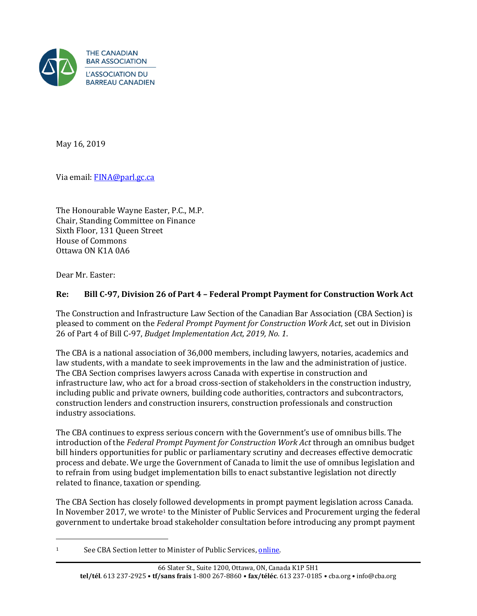

May 16, 2019

Via email: [FINA@parl.gc.ca](mailto:FINA@parl.gc.ca)

The Honourable Wayne Easter, P.C., M.P. Chair, Standing Committee on Finance Sixth Floor, 131 Queen Street House of Commons Ottawa ON K1A 0A6

Dear Mr. Easter:

 $\overline{a}$ 

# **Re: Bill C-97, Division 26 of Part 4 – Federal Prompt Payment for Construction Work Act**

The Construction and Infrastructure Law Section of the Canadian Bar Association (CBA Section) is pleased to comment on the *Federal Prompt Payment for Construction Work Act*, set out in Division 26 of Part 4 of Bill C-97, *Budget Implementation Act, 2019, No. 1*.

The CBA is a national association of 36,000 members, including lawyers, notaries, academics and law students, with a mandate to seek improvements in the law and the administration of justice. The CBA Section comprises lawyers across Canada with expertise in construction and infrastructure law, who act for a broad cross-section of stakeholders in the construction industry, including public and private owners, building code authorities, contractors and subcontractors, construction lenders and construction insurers, construction professionals and construction industry associations.

The CBA continues to express serious concern with the Government's use of omnibus bills. The introduction of the *Federal Prompt Payment for Construction Work Act* through an omnibus budget bill hinders opportunities for public or parliamentary scrutiny and decreases effective democratic process and debate. We urge the Government of Canada to limit the use of omnibus legislation and to refrain from using budget implementation bills to enact substantive legislation not directly related to finance, taxation or spending.

The CBA Section has closely followed developments in prompt payment legislation across Canada. In November 2017, we wrote<sup>1</sup> to the Minister of Public Services and Procurement urging the federal government to undertake broad stakeholder consultation before introducing any prompt payment

<sup>1</sup> See CBA Section letter to Minister of Public Services, [online.](https://www.cba.org/CMSPages/GetFile.aspx?guid=07bd7e03-1392-44ed-b7e2-22ea0f2b2c07)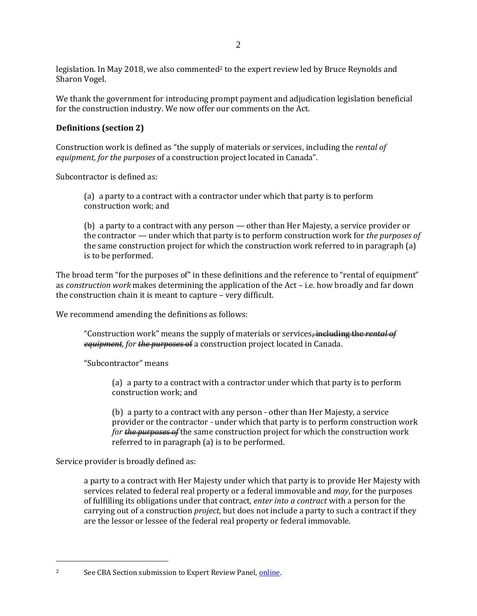legislation. In May 2018, we also commented<sup>2</sup> to the expert review led by Bruce Reynolds and Sharon Vogel.

We thank the government for introducing prompt payment and adjudication legislation beneficial for the construction industry. We now offer our comments on the Act.

## **Definitions (section 2)**

Construction work is defined as "the supply of materials or services, including the *rental of equipment, for the purposes* of a construction project located in Canada".

Subcontractor is defined as:

(a) a party to a contract with a contractor under which that party is to perform construction work; and

(b) a party to a contract with any person — other than Her Majesty, a service provider or the contractor — under which that party is to perform construction work for *the purposes of* the same construction project for which the construction work referred to in paragraph (a) is to be performed.

The broad term "for the purposes of" in these definitions and the reference to "rental of equipment" as *construction work* makes determining the application of the Act – i.e. how broadly and far down the construction chain it is meant to capture – very difficult.

We recommend amending the definitions as follows:

"Construction work" means the supply of materials or services<del>, including the *rental of*</del> *equipment, for the purposes* of a construction project located in Canada.

"Subcontractor" means

(a) a party to a contract with a contractor under which that party is to perform construction work; and

(b) a party to a contract with any person - other than Her Majesty, a service provider or the contractor - under which that party is to perform construction work *for the purposes of* the same construction project for which the construction work referred to in paragraph (a) is to be performed.

Service provider is broadly defined as:

 $\overline{a}$ 

a party to a contract with Her Majesty under which that party is to provide Her Majesty with services related to federal real property or a federal immovable and *may*, for the purposes of fulfilling its obligations under that contract, *enter into a contract* with a person for the carrying out of a construction *project*, but does not include a party to such a contract if they are the lessor or lessee of the federal real property or federal immovable.

<sup>&</sup>lt;sup>2</sup> See CBA Section submission to Expert Review Panel, [online.](https://www.cba.org/CMSPages/GetFile.aspx?guid=7ab7f120-3ea1-4bdd-bb07-dc67fc6669d4)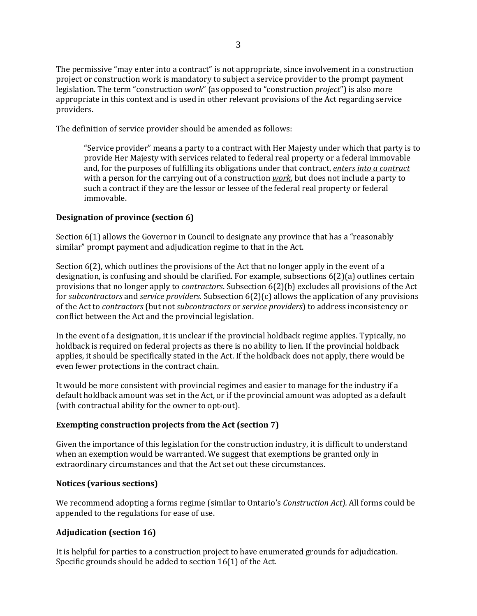The permissive "may enter into a contract" is not appropriate, since involvement in a construction project or construction work is mandatory to subject a service provider to the prompt payment legislation. The term "construction *work*" (as opposed to "construction *project*") is also more appropriate in this context and is used in other relevant provisions of the Act regarding service providers.

The definition of service provider should be amended as follows:

"Service provider" means a party to a contract with Her Majesty under which that party is to provide Her Majesty with services related to federal real property or a federal immovable and, for the purposes of fulfilling its obligations under that contract, *enters into a contract* with a person for the carrying out of a construction *work*, but does not include a party to such a contract if they are the lessor or lessee of the federal real property or federal immovable.

### **Designation of province (section 6)**

Section 6(1) allows the Governor in Council to designate any province that has a "reasonably similar" prompt payment and adjudication regime to that in the Act.

Section 6(2), which outlines the provisions of the Act that no longer apply in the event of a designation, is confusing and should be clarified. For example, subsections 6(2)(a) outlines certain provisions that no longer apply to *contractors*. Subsection 6(2)(b) excludes all provisions of the Act for *subcontractors* and *service providers.* Subsection 6(2)(c) allows the application of any provisions of the Act to *contractors* (but not *subcontractors* or *service providers*) to address inconsistency or conflict between the Act and the provincial legislation.

In the event of a designation, it is unclear if the provincial holdback regime applies. Typically, no holdback is required on federal projects as there is no ability to lien. If the provincial holdback applies, it should be specifically stated in the Act. If the holdback does not apply, there would be even fewer protections in the contract chain.

It would be more consistent with provincial regimes and easier to manage for the industry if a default holdback amount was set in the Act, or if the provincial amount was adopted as a default (with contractual ability for the owner to opt-out).

#### **Exempting construction projects from the Act (section 7)**

Given the importance of this legislation for the construction industry, it is difficult to understand when an exemption would be warranted. We suggest that exemptions be granted only in extraordinary circumstances and that the Act set out these circumstances.

### **Notices (various sections)**

We recommend adopting a forms regime (similar to Ontario's *Construction Act).* All forms could be appended to the regulations for ease of use.

### **Adjudication (section 16)**

It is helpful for parties to a construction project to have enumerated grounds for adjudication. Specific grounds should be added to section 16(1) of the Act.